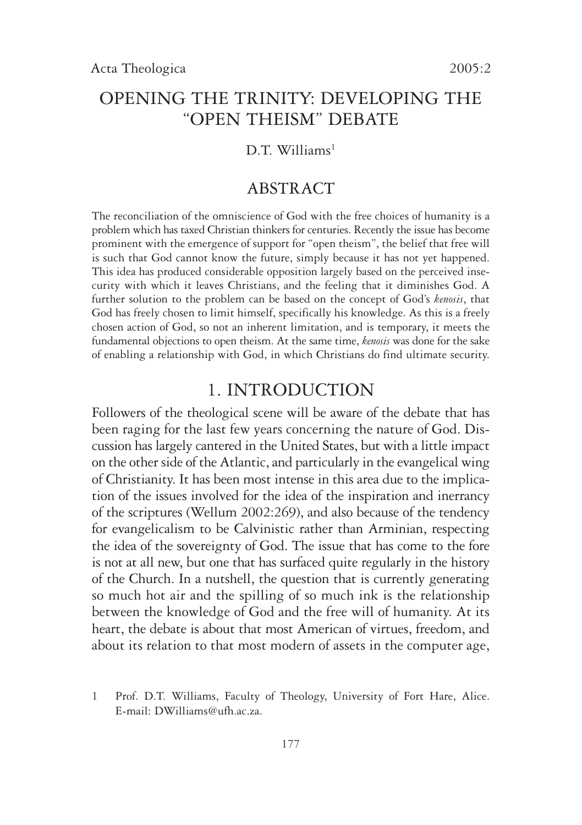# OPENING THE TRINITY: DEVELOPING THE "OPEN THEISM" DEBATE

### D.T. Williams<sup>1</sup>

## ABSTRACT

The reconciliation of the omniscience of God with the free choices of humanity is a problem which has taxed Christian thinkers for centuries. Recently the issue has become prominent with the emergence of support for "open theism", the belief that free will is such that God cannot know the future, simply because it has not yet happened. This idea has produced considerable opposition largely based on the perceived insecurity with which it leaves Christians, and the feeling that it diminishes God. A further solution to the problem can be based on the concept of God's *kenosis*, that God has freely chosen to limit himself, specifically his knowledge. As this is a freely chosen action of God, so not an inherent limitation, and is temporary, it meets the fundamental objections to open theism. At the same time, *kenosis* was done for the sake of enabling a relationship with God, in which Christians do find ultimate security.

# 1. INTRODUCTION

Followers of the theological scene will be aware of the debate that has been raging for the last few years concerning the nature of God. Discussion has largely cantered in the United States, but with a little impact on the other side of the Atlantic, and particularly in the evangelical wing of Christianity. It has been most intense in this area due to the implication of the issues involved for the idea of the inspiration and inerrancy of the scriptures (Wellum 2002:269), and also because of the tendency for evangelicalism to be Calvinistic rather than Arminian, respecting the idea of the sovereignty of God. The issue that has come to the fore is not at all new, but one that has surfaced quite regularly in the history of the Church. In a nutshell, the question that is currently generating so much hot air and the spilling of so much ink is the relationship between the knowledge of God and the free will of humanity. At its heart, the debate is about that most American of virtues, freedom, and about its relation to that most modern of assets in the computer age,

<sup>1</sup> Prof. D.T. Williams, Faculty of Theology, University of Fort Hare, Alice. E-mail: DWilliams@ufh.ac.za.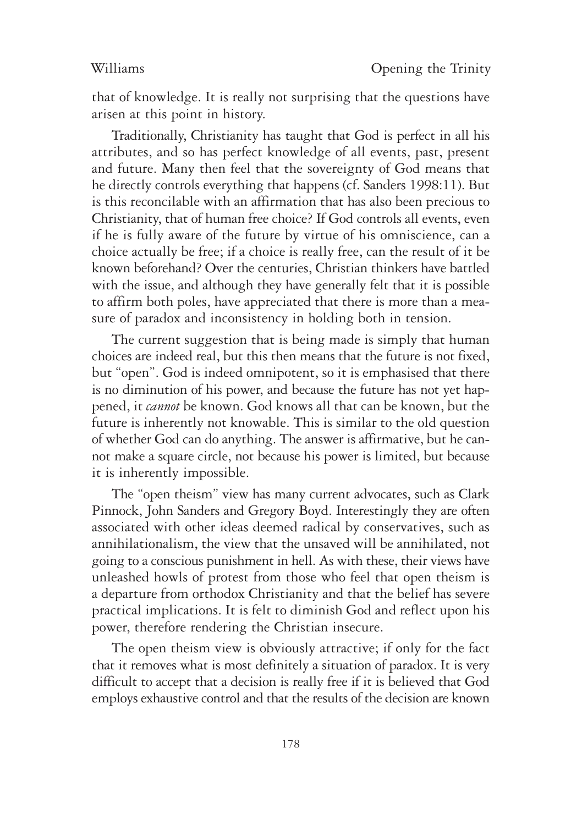that of knowledge. It is really not surprising that the questions have arisen at this point in history.

Traditionally, Christianity has taught that God is perfect in all his attributes, and so has perfect knowledge of all events, past, present and future. Many then feel that the sovereignty of God means that he directly controls everything that happens (cf. Sanders 1998:11). But is this reconcilable with an affirmation that has also been precious to Christianity, that of human free choice? If God controls all events, even if he is fully aware of the future by virtue of his omniscience, can a choice actually be free; if a choice is really free, can the result of it be known beforehand? Over the centuries, Christian thinkers have battled with the issue, and although they have generally felt that it is possible to affirm both poles, have appreciated that there is more than a measure of paradox and inconsistency in holding both in tension.

The current suggestion that is being made is simply that human choices are indeed real, but this then means that the future is not fixed, but "open". God is indeed omnipotent, so it is emphasised that there is no diminution of his power, and because the future has not yet happened, it *cannot* be known. God knows all that can be known, but the future is inherently not knowable. This is similar to the old question of whether God can do anything. The answer is affirmative, but he cannot make a square circle, not because his power is limited, but because it is inherently impossible.

The "open theism" view has many current advocates, such as Clark Pinnock, John Sanders and Gregory Boyd. Interestingly they are often associated with other ideas deemed radical by conservatives, such as annihilationalism, the view that the unsaved will be annihilated, not going to a conscious punishment in hell. As with these, their views have unleashed howls of protest from those who feel that open theism is a departure from orthodox Christianity and that the belief has severe practical implications. It is felt to diminish God and reflect upon his power, therefore rendering the Christian insecure.

The open theism view is obviously attractive; if only for the fact that it removes what is most definitely a situation of paradox. It is very difficult to accept that a decision is really free if it is believed that God employs exhaustive control and that the results of the decision are known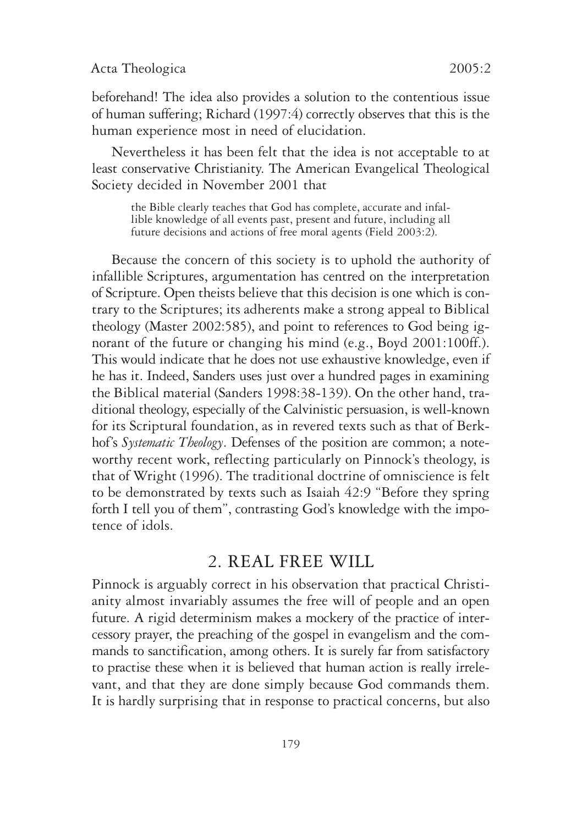beforehand! The idea also provides a solution to the contentious issue of human suffering; Richard (1997:4) correctly observes that this is the human experience most in need of elucidation.

Nevertheless it has been felt that the idea is not acceptable to at least conservative Christianity. The American Evangelical Theological Society decided in November 2001 that

the Bible clearly teaches that God has complete, accurate and infallible knowledge of all events past, present and future, including all future decisions and actions of free moral agents (Field 2003:2).

Because the concern of this society is to uphold the authority of infallible Scriptures, argumentation has centred on the interpretation of Scripture. Open theists believe that this decision is one which is contrary to the Scriptures; its adherents make a strong appeal to Biblical theology (Master 2002:585), and point to references to God being ignorant of the future or changing his mind (e.g., Boyd 2001:100ff.). This would indicate that he does not use exhaustive knowledge, even if he has it. Indeed, Sanders uses just over a hundred pages in examining the Biblical material (Sanders 1998:38-139). On the other hand, traditional theology, especially of the Calvinistic persuasion, is well-known for its Scriptural foundation, as in revered texts such as that of Berkhof's *Systematic Theology*. Defenses of the position are common; a noteworthy recent work, reflecting particularly on Pinnock's theology, is that of Wright (1996). The traditional doctrine of omniscience is felt to be demonstrated by texts such as Isaiah 42:9 "Before they spring forth I tell you of them", contrasting God's knowledge with the impotence of idols.

## 2. REAL FREE WILL

Pinnock is arguably correct in his observation that practical Christianity almost invariably assumes the free will of people and an open future. A rigid determinism makes a mockery of the practice of intercessory prayer, the preaching of the gospel in evangelism and the commands to sanctification, among others. It is surely far from satisfactory to practise these when it is believed that human action is really irrelevant, and that they are done simply because God commands them. It is hardly surprising that in response to practical concerns, but also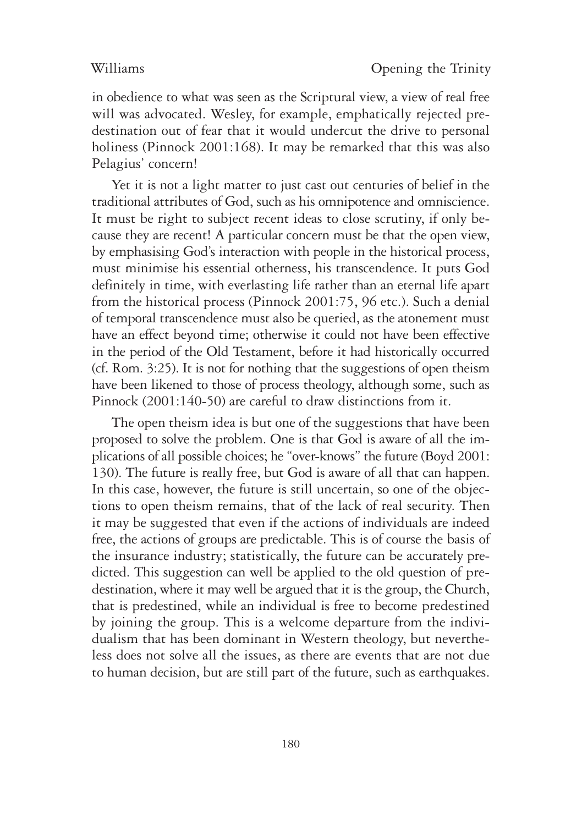in obedience to what was seen as the Scriptural view, a view of real free will was advocated. Wesley, for example, emphatically rejected predestination out of fear that it would undercut the drive to personal holiness (Pinnock 2001:168). It may be remarked that this was also Pelagius' concern!

Yet it is not a light matter to just cast out centuries of belief in the traditional attributes of God, such as his omnipotence and omniscience. It must be right to subject recent ideas to close scrutiny, if only because they are recent! A particular concern must be that the open view, by emphasising God's interaction with people in the historical process, must minimise his essential otherness, his transcendence. It puts God definitely in time, with everlasting life rather than an eternal life apart from the historical process (Pinnock 2001:75, 96 etc.). Such a denial of temporal transcendence must also be queried, as the atonement must have an effect beyond time; otherwise it could not have been effective in the period of the Old Testament, before it had historically occurred (cf. Rom. 3:25). It is not for nothing that the suggestions of open theism have been likened to those of process theology, although some, such as Pinnock (2001:140-50) are careful to draw distinctions from it.

The open theism idea is but one of the suggestions that have been proposed to solve the problem. One is that God is aware of all the implications of all possible choices; he "over-knows" the future (Boyd 2001: 130). The future is really free, but God is aware of all that can happen. In this case, however, the future is still uncertain, so one of the objections to open theism remains, that of the lack of real security. Then it may be suggested that even if the actions of individuals are indeed free, the actions of groups are predictable. This is of course the basis of the insurance industry; statistically, the future can be accurately predicted. This suggestion can well be applied to the old question of predestination, where it may well be argued that it is the group, the Church, that is predestined, while an individual is free to become predestined by joining the group. This is a welcome departure from the individualism that has been dominant in Western theology, but nevertheless does not solve all the issues, as there are events that are not due to human decision, but are still part of the future, such as earthquakes.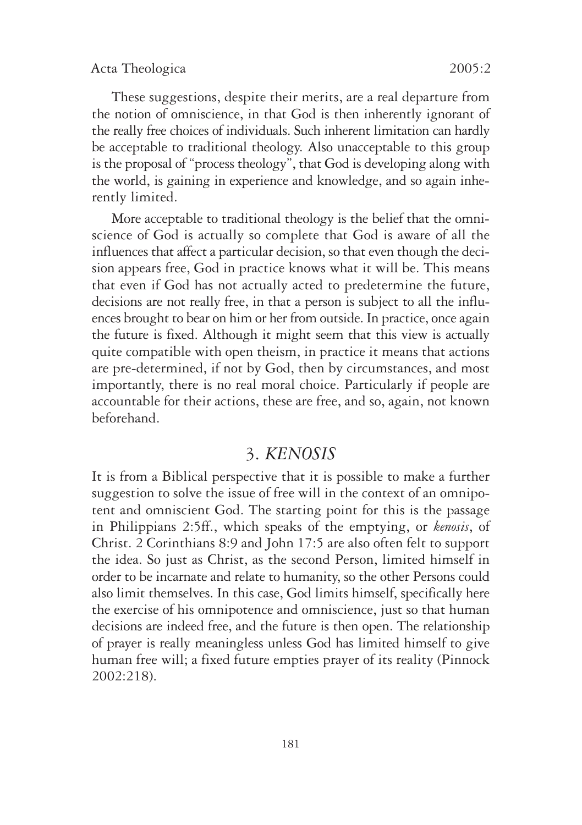These suggestions, despite their merits, are a real departure from the notion of omniscience, in that God is then inherently ignorant of the really free choices of individuals. Such inherent limitation can hardly be acceptable to traditional theology. Also unacceptable to this group is the proposal of "process theology", that God is developing along with the world, is gaining in experience and knowledge, and so again inherently limited.

More acceptable to traditional theology is the belief that the omniscience of God is actually so complete that God is aware of all the influences that affect a particular decision, so that even though the decision appears free, God in practice knows what it will be. This means that even if God has not actually acted to predetermine the future, decisions are not really free, in that a person is subject to all the influences brought to bear on him or her from outside. In practice, once again the future is fixed. Although it might seem that this view is actually quite compatible with open theism, in practice it means that actions are pre-determined, if not by God, then by circumstances, and most importantly, there is no real moral choice. Particularly if people are accountable for their actions, these are free, and so, again, not known beforehand.

## 3. *KENOSIS*

It is from a Biblical perspective that it is possible to make a further suggestion to solve the issue of free will in the context of an omnipotent and omniscient God. The starting point for this is the passage in Philippians 2:5ff., which speaks of the emptying, or *kenosis*, of Christ. 2 Corinthians 8:9 and John 17:5 are also often felt to support the idea. So just as Christ, as the second Person, limited himself in order to be incarnate and relate to humanity, so the other Persons could also limit themselves. In this case, God limits himself, specifically here the exercise of his omnipotence and omniscience, just so that human decisions are indeed free, and the future is then open. The relationship of prayer is really meaningless unless God has limited himself to give human free will; a fixed future empties prayer of its reality (Pinnock 2002:218).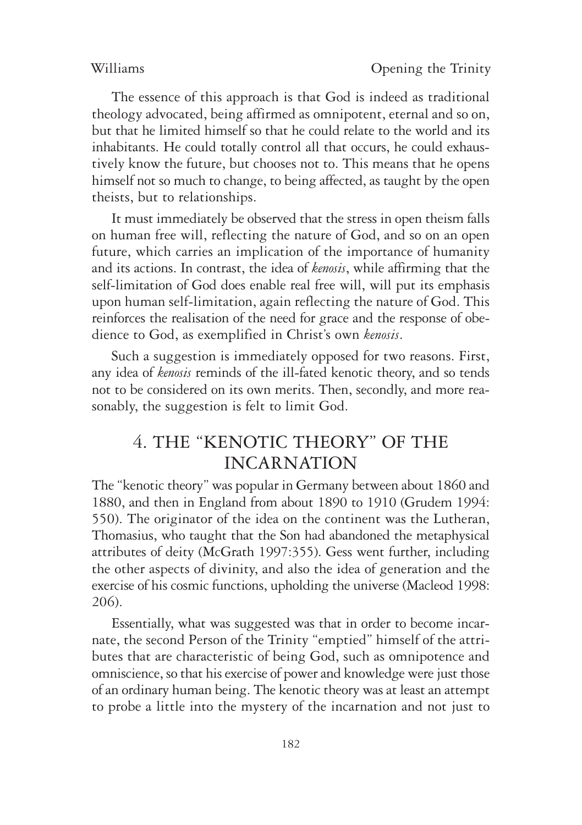The essence of this approach is that God is indeed as traditional theology advocated, being affirmed as omnipotent, eternal and so on, but that he limited himself so that he could relate to the world and its inhabitants. He could totally control all that occurs, he could exhaustively know the future, but chooses not to. This means that he opens himself not so much to change, to being affected, as taught by the open theists, but to relationships.

It must immediately be observed that the stress in open theism falls on human free will, reflecting the nature of God, and so on an open future, which carries an implication of the importance of humanity and its actions. In contrast, the idea of *kenosis*, while affirming that the self-limitation of God does enable real free will, will put its emphasis upon human self-limitation, again reflecting the nature of God. This reinforces the realisation of the need for grace and the response of obedience to God, as exemplified in Christ's own *kenosis*.

Such a suggestion is immediately opposed for two reasons. First, any idea of *kenosis* reminds of the ill-fated kenotic theory, and so tends not to be considered on its own merits. Then, secondly, and more reasonably, the suggestion is felt to limit God.

# 4. THE "KENOTIC THEORY" OF THE INCARNATION

The "kenotic theory" was popular in Germany between about 1860 and 1880, and then in England from about 1890 to 1910 (Grudem 1994: 550). The originator of the idea on the continent was the Lutheran, Thomasius, who taught that the Son had abandoned the metaphysical attributes of deity (McGrath 1997:355). Gess went further, including the other aspects of divinity, and also the idea of generation and the exercise of his cosmic functions, upholding the universe (Macleod 1998: 206).

Essentially, what was suggested was that in order to become incarnate, the second Person of the Trinity "emptied" himself of the attributes that are characteristic of being God, such as omnipotence and omniscience, so that his exercise of power and knowledge were just those of an ordinary human being. The kenotic theory was at least an attempt to probe a little into the mystery of the incarnation and not just to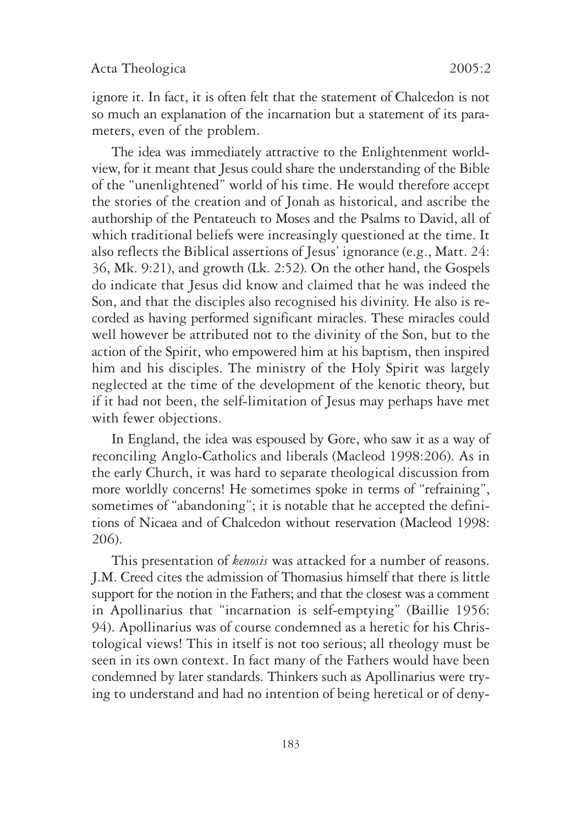ignore it. In fact, it is often felt that the statement of Chalcedon is not so much an explanation of the incarnation but a statement of its parameters, even of the problem.

The idea was immediately attractive to the Enlightenment worldview, for it meant that Jesus could share the understanding of the Bible of the "unenlightened" world of his time. He would therefore accept the stories of the creation and of Jonah as historical, and ascribe the authorship of the Pentateuch to Moses and the Psalms to David, all of which traditional beliefs were increasingly questioned at the time. It also reflects the Biblical assertions of Jesus' ignorance (e.g., Matt. 24: 36, Mk. 9:21), and growth (Lk. 2:52). On the other hand, the Gospels do indicate that Jesus did know and claimed that he was indeed the Son, and that the disciples also recognised his divinity. He also is recorded as having performed significant miracles. These miracles could well however be attributed not to the divinity of the Son, but to the action of the Spirit, who empowered him at his baptism, then inspired him and his disciples. The ministry of the Holy Spirit was largely neglected at the time of the development of the kenotic theory, but if it had not been, the self-limitation of Jesus may perhaps have met with fewer objections.

In England, the idea was espoused by Gore, who saw it as a way of reconciling Anglo-Catholics and liberals (Macleod 1998:206). As in the early Church, it was hard to separate theological discussion from more worldly concerns! He sometimes spoke in terms of "refraining", sometimes of "abandoning"; it is notable that he accepted the definitions of Nicaea and of Chalcedon without reservation (Macleod 1998: 206).

This presentation of *kenosis* was attacked for a number of reasons. J.M. Creed cites the admission of Thomasius himself that there is little support for the notion in the Fathers; and that the closest was a comment in Apollinarius that "incarnation is self-emptying" (Baillie 1956: 94). Apollinarius was of course condemned as a heretic for his Christological views! This in itself is not too serious; all theology must be seen in its own context. In fact many of the Fathers would have been condemned by later standards. Thinkers such as Apollinarius were trying to understand and had no intention of being heretical or of deny-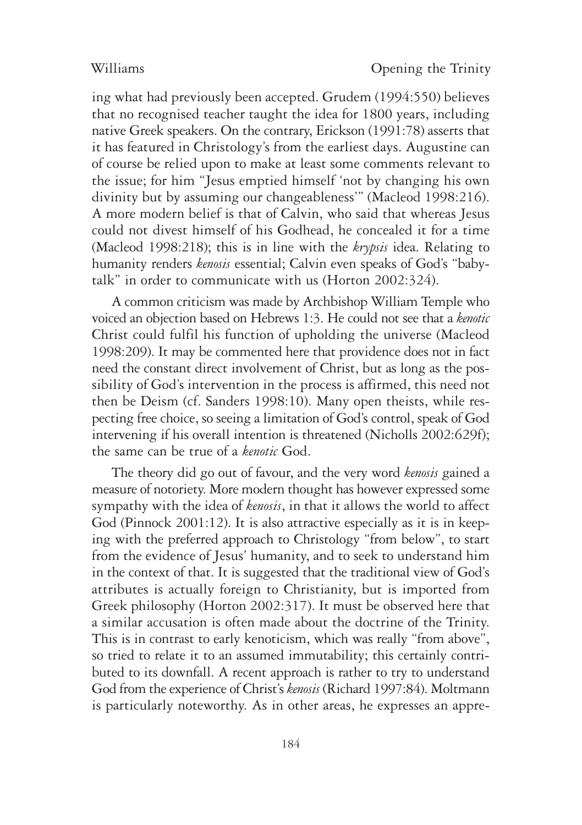ing what had previously been accepted. Grudem (1994:550) believes that no recognised teacher taught the idea for 1800 years, including native Greek speakers. On the contrary, Erickson (1991:78) asserts that it has featured in Christology's from the earliest days. Augustine can of course be relied upon to make at least some comments relevant to the issue; for him "Jesus emptied himself 'not by changing his own divinity but by assuming our changeableness'" (Macleod 1998:216). A more modern belief is that of Calvin, who said that whereas Jesus could not divest himself of his Godhead, he concealed it for a time (Macleod 1998:218); this is in line with the *krypsis* idea. Relating to humanity renders *kenosis* essential; Calvin even speaks of God's "babytalk" in order to communicate with us (Horton 2002:324).

A common criticism was made by Archbishop William Temple who voiced an objection based on Hebrews 1:3. He could not see that a *kenotic* Christ could fulfil his function of upholding the universe (Macleod 1998:209). It may be commented here that providence does not in fact need the constant direct involvement of Christ, but as long as the possibility of God's intervention in the process is affirmed, this need not then be Deism (cf. Sanders 1998:10). Many open theists, while respecting free choice, so seeing a limitation of God's control, speak of God intervening if his overall intention is threatened (Nicholls 2002:629f); the same can be true of a *kenotic* God.

The theory did go out of favour, and the very word *kenosis* gained a measure of notoriety. More modern thought has however expressed some sympathy with the idea of *kenosis*, in that it allows the world to affect God (Pinnock 2001:12). It is also attractive especially as it is in keeping with the preferred approach to Christology "from below", to start from the evidence of Jesus' humanity, and to seek to understand him in the context of that. It is suggested that the traditional view of God's attributes is actually foreign to Christianity, but is imported from Greek philosophy (Horton 2002:317). It must be observed here that a similar accusation is often made about the doctrine of the Trinity. This is in contrast to early kenoticism, which was really "from above", so tried to relate it to an assumed immutability; this certainly contributed to its downfall. A recent approach is rather to try to understand God from the experience of Christ's *kenosis* (Richard 1997:84). Moltmann is particularly noteworthy. As in other areas, he expresses an appre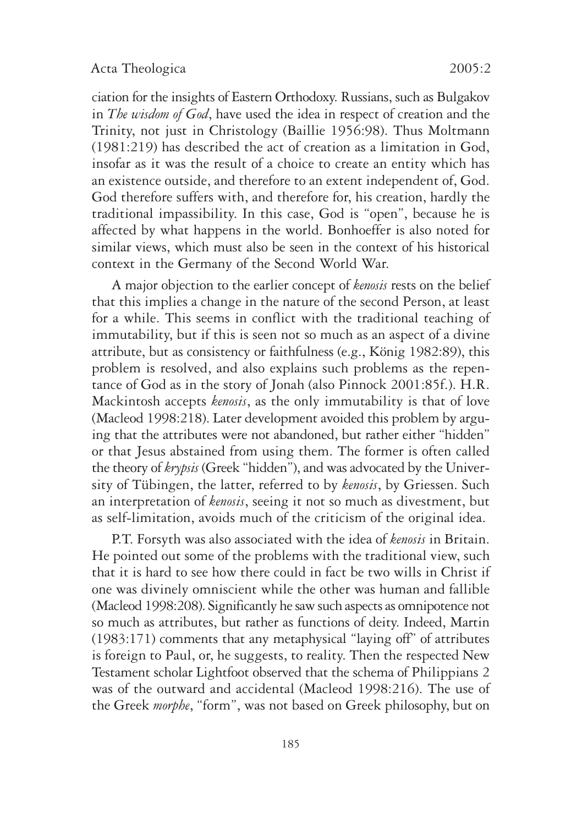ciation for the insights of Eastern Orthodoxy. Russians, such as Bulgakov in *The wisdom of God*, have used the idea in respect of creation and the Trinity, not just in Christology (Baillie 1956:98). Thus Moltmann (1981:219) has described the act of creation as a limitation in God, insofar as it was the result of a choice to create an entity which has an existence outside, and therefore to an extent independent of, God. God therefore suffers with, and therefore for, his creation, hardly the traditional impassibility. In this case, God is "open", because he is affected by what happens in the world. Bonhoeffer is also noted for similar views, which must also be seen in the context of his historical context in the Germany of the Second World War.

A major objection to the earlier concept of *kenosis* rests on the belief that this implies a change in the nature of the second Person, at least for a while. This seems in conflict with the traditional teaching of immutability, but if this is seen not so much as an aspect of a divine attribute, but as consistency or faithfulness (e.g., König 1982:89), this problem is resolved, and also explains such problems as the repentance of God as in the story of Jonah (also Pinnock 2001:85f.). H.R. Mackintosh accepts *kenosis*, as the only immutability is that of love (Macleod 1998:218). Later development avoided this problem by arguing that the attributes were not abandoned, but rather either "hidden" or that Jesus abstained from using them. The former is often called the theory of *krypsis* (Greek "hidden"), and was advocated by the University of Tübingen, the latter, referred to by *kenosis*, by Griessen. Such an interpretation of *kenosis*, seeing it not so much as divestment, but as self-limitation, avoids much of the criticism of the original idea.

P.T. Forsyth was also associated with the idea of *kenosis* in Britain. He pointed out some of the problems with the traditional view, such that it is hard to see how there could in fact be two wills in Christ if one was divinely omniscient while the other was human and fallible (Macleod 1998:208). Significantly he saw such aspects as omnipotence not so much as attributes, but rather as functions of deity. Indeed, Martin (1983:171) comments that any metaphysical "laying off" of attributes is foreign to Paul, or, he suggests, to reality. Then the respected New Testament scholar Lightfoot observed that the schema of Philippians 2 was of the outward and accidental (Macleod 1998:216). The use of the Greek *morphe*, "form", was not based on Greek philosophy, but on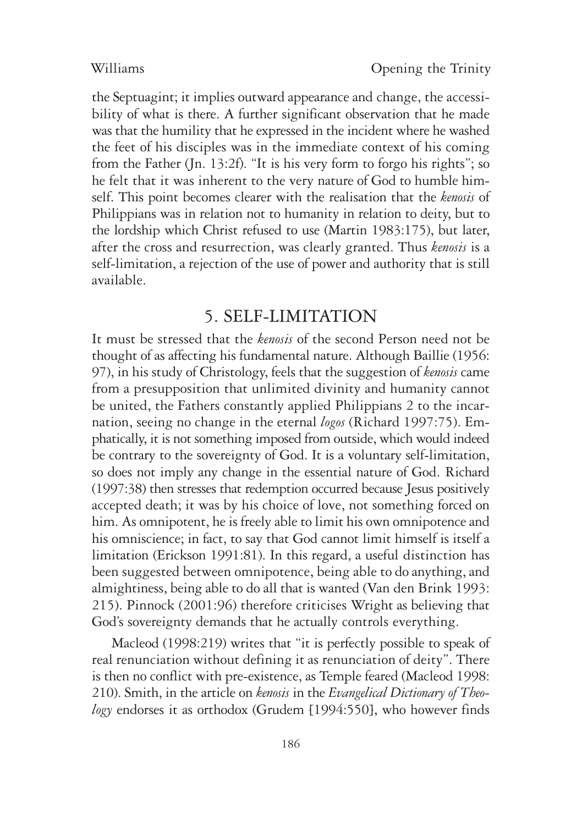the Septuagint; it implies outward appearance and change, the accessibility of what is there. A further significant observation that he made was that the humility that he expressed in the incident where he washed the feet of his disciples was in the immediate context of his coming from the Father (Jn. 13:2f). "It is his very form to forgo his rights"; so he felt that it was inherent to the very nature of God to humble himself. This point becomes clearer with the realisation that the *kenosis* of Philippians was in relation not to humanity in relation to deity, but to the lordship which Christ refused to use (Martin 1983:175), but later, after the cross and resurrection, was clearly granted. Thus *kenosis* is a self-limitation, a rejection of the use of power and authority that is still available.

# 5. SELF-LIMITATION

It must be stressed that the *kenosis* of the second Person need not be thought of as affecting his fundamental nature. Although Baillie (1956: 97), in his study of Christology, feels that the suggestion of *kenosis* came from a presupposition that unlimited divinity and humanity cannot be united, the Fathers constantly applied Philippians 2 to the incarnation, seeing no change in the eternal *logos* (Richard 1997:75). Emphatically, it is not something imposed from outside, which would indeed be contrary to the sovereignty of God. It is a voluntary self-limitation, so does not imply any change in the essential nature of God. Richard (1997:38) then stresses that redemption occurred because Jesus positively accepted death; it was by his choice of love, not something forced on him. As omnipotent, he is freely able to limit his own omnipotence and his omniscience; in fact, to say that God cannot limit himself is itself a limitation (Erickson 1991:81). In this regard, a useful distinction has been suggested between omnipotence, being able to do anything, and almightiness, being able to do all that is wanted (Van den Brink 1993: 215). Pinnock (2001:96) therefore criticises Wright as believing that God's sovereignty demands that he actually controls everything.

Macleod (1998:219) writes that "it is perfectly possible to speak of real renunciation without defining it as renunciation of deity". There is then no conflict with pre-existence, as Temple feared (Macleod 1998: 210). Smith, in the article on *kenosis* in the *Evangelical Dictionary of Theology* endorses it as orthodox (Grudem [1994:550], who however finds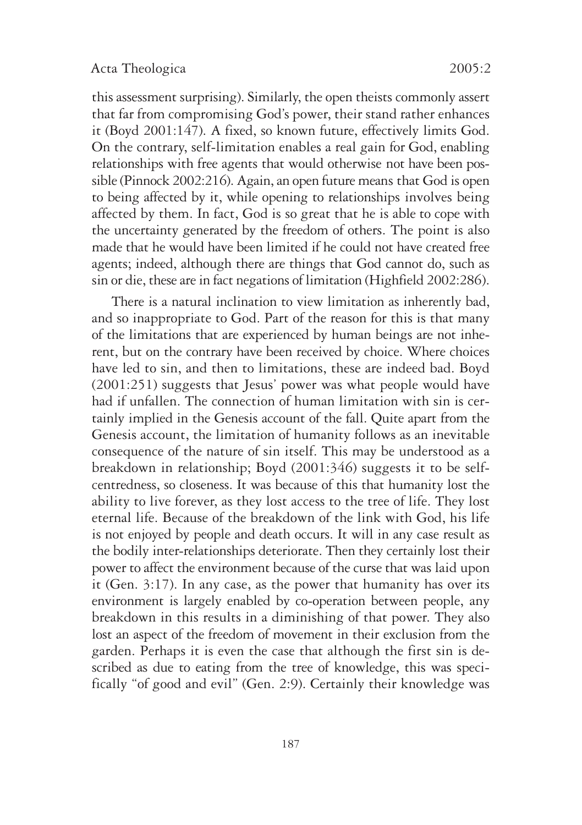this assessment surprising). Similarly, the open theists commonly assert that far from compromising God's power, their stand rather enhances it (Boyd 2001:147). A fixed, so known future, effectively limits God. On the contrary, self-limitation enables a real gain for God, enabling relationships with free agents that would otherwise not have been possible (Pinnock 2002:216). Again, an open future means that God is open to being affected by it, while opening to relationships involves being affected by them. In fact, God is so great that he is able to cope with the uncertainty generated by the freedom of others. The point is also made that he would have been limited if he could not have created free agents; indeed, although there are things that God cannot do, such as sin or die, these are in fact negations of limitation (Highfield 2002:286).

There is a natural inclination to view limitation as inherently bad, and so inappropriate to God. Part of the reason for this is that many of the limitations that are experienced by human beings are not inherent, but on the contrary have been received by choice. Where choices have led to sin, and then to limitations, these are indeed bad. Boyd (2001:251) suggests that Jesus' power was what people would have had if unfallen. The connection of human limitation with sin is certainly implied in the Genesis account of the fall. Quite apart from the Genesis account, the limitation of humanity follows as an inevitable consequence of the nature of sin itself. This may be understood as a breakdown in relationship; Boyd (2001:346) suggests it to be selfcentredness, so closeness. It was because of this that humanity lost the ability to live forever, as they lost access to the tree of life. They lost eternal life. Because of the breakdown of the link with God, his life is not enjoyed by people and death occurs. It will in any case result as the bodily inter-relationships deteriorate. Then they certainly lost their power to affect the environment because of the curse that was laid upon it (Gen. 3:17). In any case, as the power that humanity has over its environment is largely enabled by co-operation between people, any breakdown in this results in a diminishing of that power. They also lost an aspect of the freedom of movement in their exclusion from the garden. Perhaps it is even the case that although the first sin is described as due to eating from the tree of knowledge, this was specifically "of good and evil" (Gen. 2:9). Certainly their knowledge was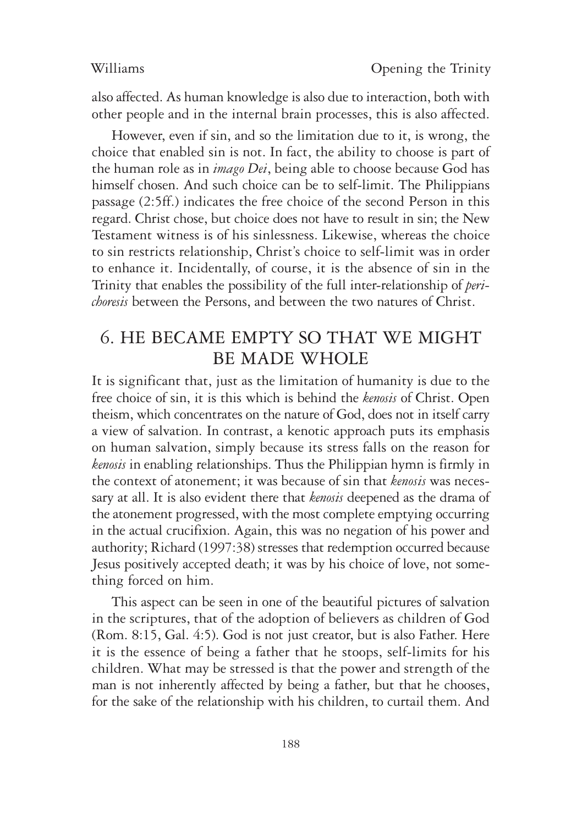also affected. As human knowledge is also due to interaction, both with other people and in the internal brain processes, this is also affected.

However, even if sin, and so the limitation due to it, is wrong, the choice that enabled sin is not. In fact, the ability to choose is part of the human role as in *imago Dei*, being able to choose because God has himself chosen. And such choice can be to self-limit. The Philippians passage (2:5ff.) indicates the free choice of the second Person in this regard. Christ chose, but choice does not have to result in sin; the New Testament witness is of his sinlessness. Likewise, whereas the choice to sin restricts relationship, Christ's choice to self-limit was in order to enhance it. Incidentally, of course, it is the absence of sin in the Trinity that enables the possibility of the full inter-relationship of *perichoresis* between the Persons, and between the two natures of Christ.

# 6. HE BECAME EMPTY SO THAT WE MIGHT BE MADE WHOLE

It is significant that, just as the limitation of humanity is due to the free choice of sin, it is this which is behind the *kenosis* of Christ. Open theism, which concentrates on the nature of God, does not in itself carry a view of salvation. In contrast, a kenotic approach puts its emphasis on human salvation, simply because its stress falls on the reason for *kenosis* in enabling relationships. Thus the Philippian hymn is firmly in the context of atonement; it was because of sin that *kenosis* was necessary at all. It is also evident there that *kenosis* deepened as the drama of the atonement progressed, with the most complete emptying occurring in the actual crucifixion. Again, this was no negation of his power and authority; Richard (1997:38) stresses that redemption occurred because Jesus positively accepted death; it was by his choice of love, not something forced on him.

This aspect can be seen in one of the beautiful pictures of salvation in the scriptures, that of the adoption of believers as children of God (Rom. 8:15, Gal. 4:5). God is not just creator, but is also Father. Here it is the essence of being a father that he stoops, self-limits for his children. What may be stressed is that the power and strength of the man is not inherently affected by being a father, but that he chooses, for the sake of the relationship with his children, to curtail them. And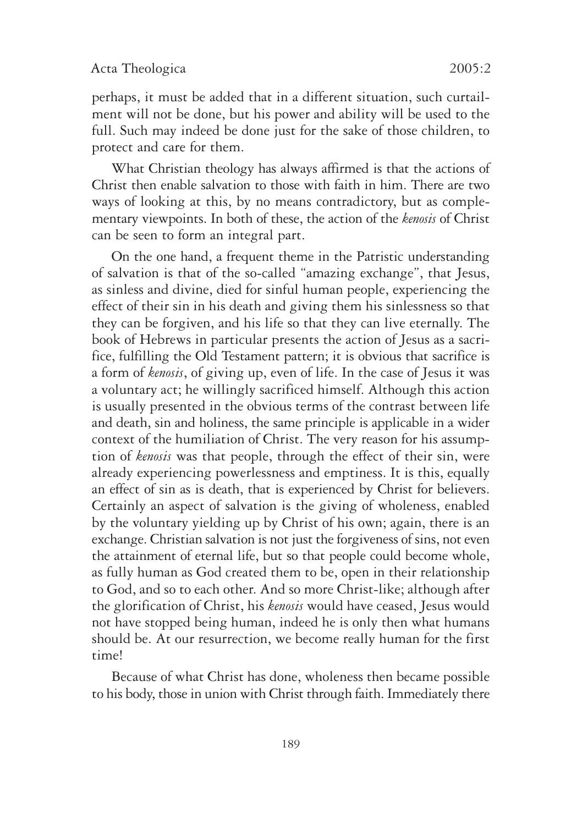perhaps, it must be added that in a different situation, such curtailment will not be done, but his power and ability will be used to the full. Such may indeed be done just for the sake of those children, to protect and care for them.

What Christian theology has always affirmed is that the actions of Christ then enable salvation to those with faith in him. There are two ways of looking at this, by no means contradictory, but as complementary viewpoints. In both of these, the action of the *kenosis* of Christ can be seen to form an integral part.

On the one hand, a frequent theme in the Patristic understanding of salvation is that of the so-called "amazing exchange", that Jesus, as sinless and divine, died for sinful human people, experiencing the effect of their sin in his death and giving them his sinlessness so that they can be forgiven, and his life so that they can live eternally. The book of Hebrews in particular presents the action of Jesus as a sacrifice, fulfilling the Old Testament pattern; it is obvious that sacrifice is a form of *kenosis*, of giving up, even of life. In the case of Jesus it was a voluntary act; he willingly sacrificed himself. Although this action is usually presented in the obvious terms of the contrast between life and death, sin and holiness, the same principle is applicable in a wider context of the humiliation of Christ. The very reason for his assumption of *kenosis* was that people, through the effect of their sin, were already experiencing powerlessness and emptiness. It is this, equally an effect of sin as is death, that is experienced by Christ for believers. Certainly an aspect of salvation is the giving of wholeness, enabled by the voluntary yielding up by Christ of his own; again, there is an exchange. Christian salvation is not just the forgiveness of sins, not even the attainment of eternal life, but so that people could become whole, as fully human as God created them to be, open in their relationship to God, and so to each other. And so more Christ-like; although after the glorification of Christ, his *kenosis* would have ceased, Jesus would not have stopped being human, indeed he is only then what humans should be. At our resurrection, we become really human for the first time!

Because of what Christ has done, wholeness then became possible to his body, those in union with Christ through faith. Immediately there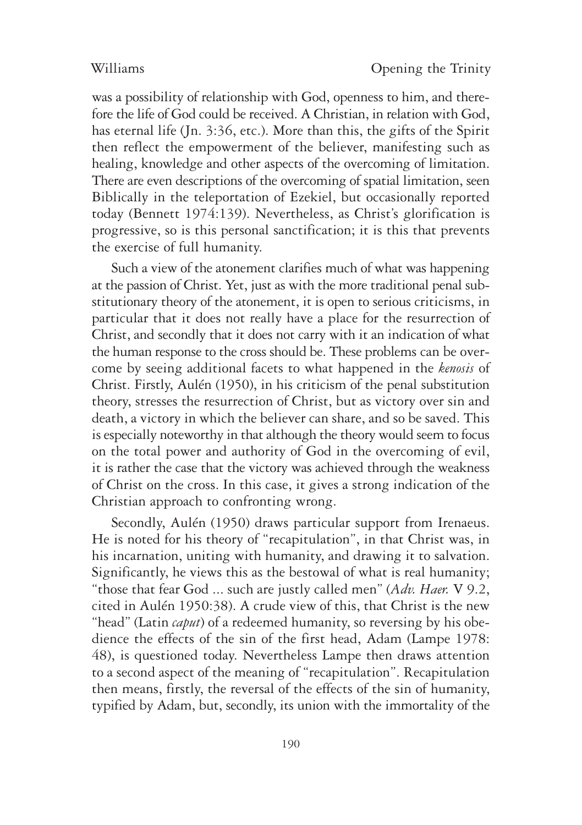was a possibility of relationship with God, openness to him, and therefore the life of God could be received. A Christian, in relation with God, has eternal life (Jn. 3:36, etc.). More than this, the gifts of the Spirit then reflect the empowerment of the believer, manifesting such as healing, knowledge and other aspects of the overcoming of limitation. There are even descriptions of the overcoming of spatial limitation, seen Biblically in the teleportation of Ezekiel, but occasionally reported today (Bennett 1974:139). Nevertheless, as Christ's glorification is progressive, so is this personal sanctification; it is this that prevents the exercise of full humanity.

Such a view of the atonement clarifies much of what was happening at the passion of Christ. Yet, just as with the more traditional penal substitutionary theory of the atonement, it is open to serious criticisms, in particular that it does not really have a place for the resurrection of Christ, and secondly that it does not carry with it an indication of what the human response to the cross should be. These problems can be overcome by seeing additional facets to what happened in the *kenosis* of Christ. Firstly, Aulén (1950), in his criticism of the penal substitution theory, stresses the resurrection of Christ, but as victory over sin and death, a victory in which the believer can share, and so be saved. This is especially noteworthy in that although the theory would seem to focus on the total power and authority of God in the overcoming of evil, it is rather the case that the victory was achieved through the weakness of Christ on the cross. In this case, it gives a strong indication of the Christian approach to confronting wrong.

Secondly, Aulén (1950) draws particular support from Irenaeus. He is noted for his theory of "recapitulation", in that Christ was, in his incarnation, uniting with humanity, and drawing it to salvation. Significantly, he views this as the bestowal of what is real humanity; "those that fear God ... such are justly called men" (*Adv. Haer.* V 9.2, cited in Aulén 1950:38). A crude view of this, that Christ is the new "head" (Latin *caput*) of a redeemed humanity, so reversing by his obedience the effects of the sin of the first head, Adam (Lampe 1978: 48), is questioned today. Nevertheless Lampe then draws attention to a second aspect of the meaning of "recapitulation". Recapitulation then means, firstly, the reversal of the effects of the sin of humanity, typified by Adam, but, secondly, its union with the immortality of the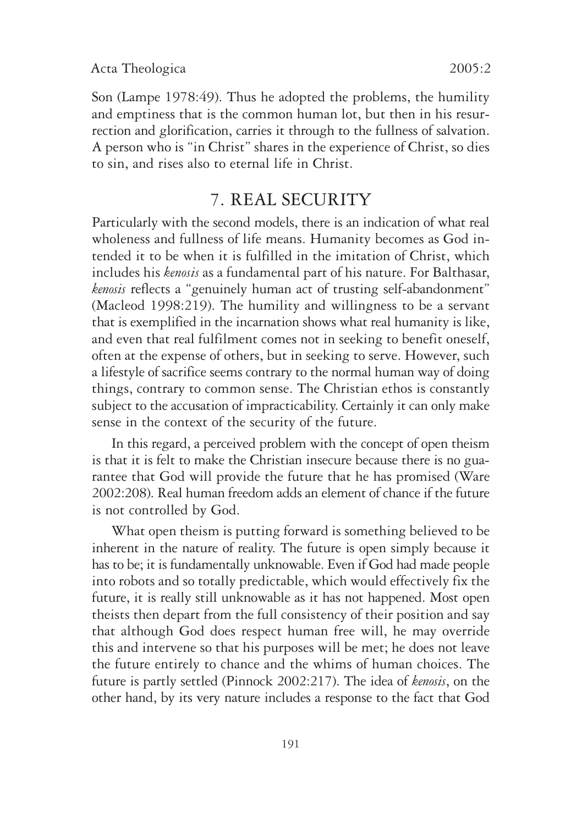Son (Lampe 1978:49). Thus he adopted the problems, the humility and emptiness that is the common human lot, but then in his resurrection and glorification, carries it through to the fullness of salvation. A person who is "in Christ" shares in the experience of Christ, so dies to sin, and rises also to eternal life in Christ.

## 7. REAL SECURITY

Particularly with the second models, there is an indication of what real wholeness and fullness of life means. Humanity becomes as God intended it to be when it is fulfilled in the imitation of Christ, which includes his *kenosis* as a fundamental part of his nature. For Balthasar, *kenosis* reflects a "genuinely human act of trusting self-abandonment" (Macleod 1998:219). The humility and willingness to be a servant that is exemplified in the incarnation shows what real humanity is like, and even that real fulfilment comes not in seeking to benefit oneself, often at the expense of others, but in seeking to serve. However, such a lifestyle of sacrifice seems contrary to the normal human way of doing things, contrary to common sense. The Christian ethos is constantly subject to the accusation of impracticability. Certainly it can only make sense in the context of the security of the future.

In this regard, a perceived problem with the concept of open theism is that it is felt to make the Christian insecure because there is no guarantee that God will provide the future that he has promised (Ware 2002:208). Real human freedom adds an element of chance if the future is not controlled by God.

What open theism is putting forward is something believed to be inherent in the nature of reality. The future is open simply because it has to be; it is fundamentally unknowable. Even if God had made people into robots and so totally predictable, which would effectively fix the future, it is really still unknowable as it has not happened. Most open theists then depart from the full consistency of their position and say that although God does respect human free will, he may override this and intervene so that his purposes will be met; he does not leave the future entirely to chance and the whims of human choices. The future is partly settled (Pinnock 2002:217). The idea of *kenosis*, on the other hand, by its very nature includes a response to the fact that God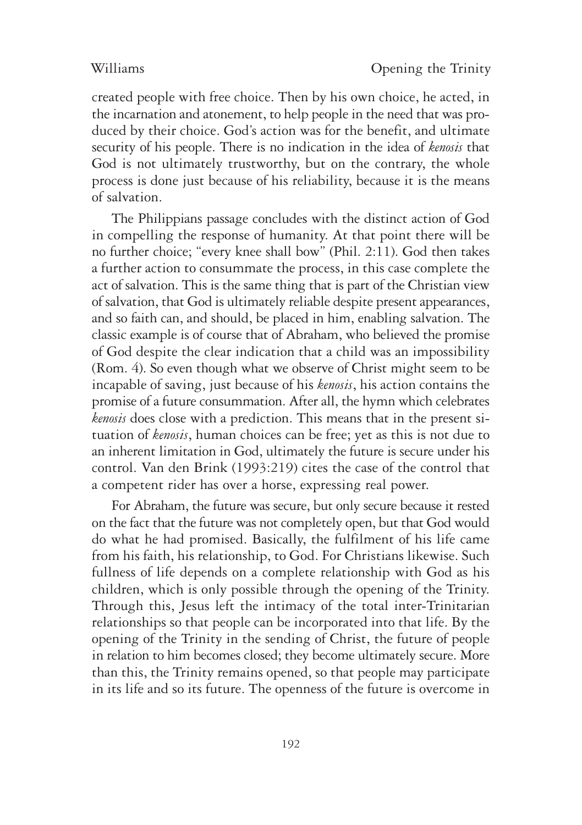created people with free choice. Then by his own choice, he acted, in the incarnation and atonement, to help people in the need that was produced by their choice. God's action was for the benefit, and ultimate security of his people. There is no indication in the idea of *kenosis* that God is not ultimately trustworthy, but on the contrary, the whole process is done just because of his reliability, because it is the means of salvation.

The Philippians passage concludes with the distinct action of God in compelling the response of humanity. At that point there will be no further choice; "every knee shall bow" (Phil. 2:11). God then takes a further action to consummate the process, in this case complete the act of salvation. This is the same thing that is part of the Christian view of salvation, that God is ultimately reliable despite present appearances, and so faith can, and should, be placed in him, enabling salvation. The classic example is of course that of Abraham, who believed the promise of God despite the clear indication that a child was an impossibility (Rom. 4). So even though what we observe of Christ might seem to be incapable of saving, just because of his *kenosis*, his action contains the promise of a future consummation. After all, the hymn which celebrates *kenosis* does close with a prediction. This means that in the present situation of *kenosis*, human choices can be free; yet as this is not due to an inherent limitation in God, ultimately the future is secure under his control. Van den Brink (1993:219) cites the case of the control that a competent rider has over a horse, expressing real power.

For Abraham, the future was secure, but only secure because it rested on the fact that the future was not completely open, but that God would do what he had promised. Basically, the fulfilment of his life came from his faith, his relationship, to God. For Christians likewise. Such fullness of life depends on a complete relationship with God as his children, which is only possible through the opening of the Trinity. Through this, Jesus left the intimacy of the total inter-Trinitarian relationships so that people can be incorporated into that life. By the opening of the Trinity in the sending of Christ, the future of people in relation to him becomes closed; they become ultimately secure. More than this, the Trinity remains opened, so that people may participate in its life and so its future. The openness of the future is overcome in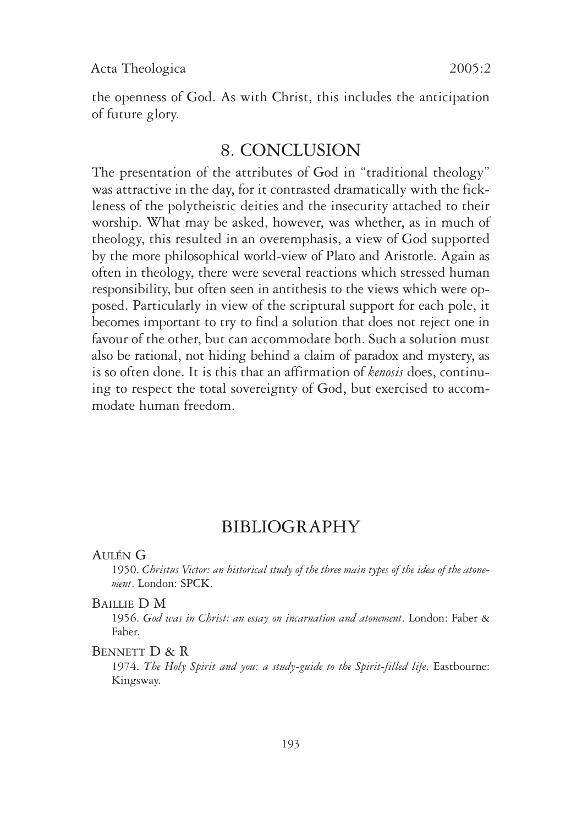the openness of God. As with Christ, this includes the anticipation of future glory.

# 8. CONCLUSION

The presentation of the attributes of God in "traditional theology" was attractive in the day, for it contrasted dramatically with the fickleness of the polytheistic deities and the insecurity attached to their worship. What may be asked, however, was whether, as in much of theology, this resulted in an overemphasis, a view of God supported by the more philosophical world-view of Plato and Aristotle. Again as often in theology, there were several reactions which stressed human responsibility, but often seen in antithesis to the views which were opposed. Particularly in view of the scriptural support for each pole, it becomes important to try to find a solution that does not reject one in favour of the other, but can accommodate both. Such a solution must also be rational, not hiding behind a claim of paradox and mystery, as is so often done. It is this that an affirmation of *kenosis* does, continuing to respect the total sovereignty of God, but exercised to accommodate human freedom.

# BIBLIOGRAPHY

AULÉN<sub>G</sub>

1950. *Christus Victor: an historical study of the three main types of the idea of the atonement*. London: SPCK.

BAILLIE D M

1956. *God was in Christ: an essay on incarnation and atonement*. London: Faber & Faber.

### BENNETT D & R

1974. *The Holy Spirit and you: a study-guide to the Spirit-filled life*. Eastbourne: Kingsway.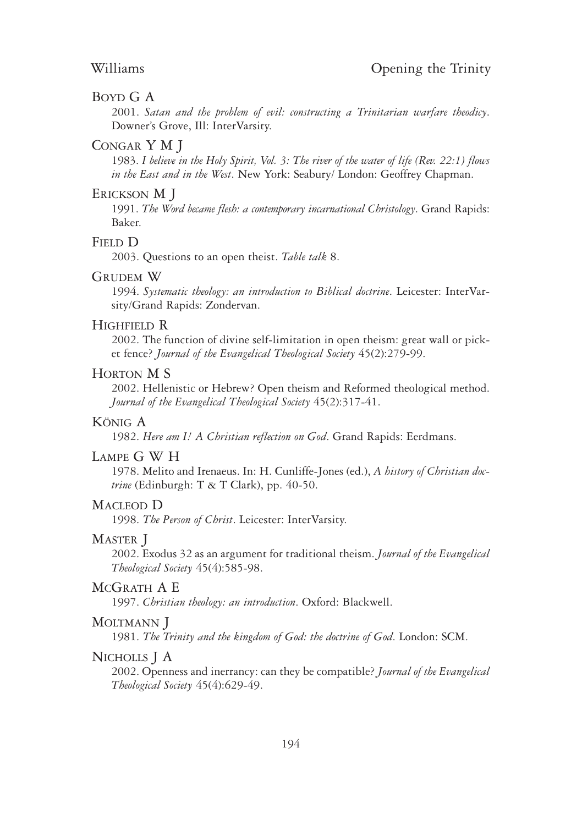### BOYD G A

2001. *Satan and the problem of evil: constructing a Trinitarian warfare theodicy*. Downer's Grove, Ill: InterVarsity.

### CONGAR Y M J

1983. *I believe in the Holy Spirit, Vol. 3: The river of the water of life (Rev. 22:1) flows in the East and in the West*. New York: Seabury/ London: Geoffrey Chapman.

#### ERICKSON M J

1991. *The Word became flesh: a contemporary incarnational Christology*. Grand Rapids: Baker.

#### FIELD D

2003. Questions to an open theist. *Table talk* 8.

#### GRUDEM W

1994. *Systematic theology: an introduction to Biblical doctrine*. Leicester: InterVarsity/Grand Rapids: Zondervan.

#### HIGHFIELD R

2002. The function of divine self-limitation in open theism: great wall or picket fence? *Journal of the Evangelical Theological Society* 45(2):279-99.

#### HORTON M S

2002. Hellenistic or Hebrew? Open theism and Reformed theological method. *Journal of the Evangelical Theological Society* 45(2):317-41.

### KÖNIG A

1982. *Here am I! A Christian reflection on God*. Grand Rapids: Eerdmans.

#### LAMPE G W H

1978. Melito and Irenaeus. In: H. Cunliffe-Jones (ed.), *A history of Christian doctrine* (Edinburgh: T & T Clark), pp. 40-50.

#### MACLEOD D

1998. *The Person of Christ*. Leicester: InterVarsity.

#### MASTER J

2002. Exodus 32 as an argument for traditional theism. *Journal of the Evangelical Theological Society* 45(4):585-98.

#### MCGRATH A E

1997. *Christian theology: an introduction*. Oxford: Blackwell.

#### MOLTMANN J

1981. *The Trinity and the kingdom of God: the doctrine of God*. London: SCM.

#### NICHOLLS J A

2002. Openness and inerrancy: can they be compatible? *Journal of the Evangelical Theological Society* 45(4):629-49.